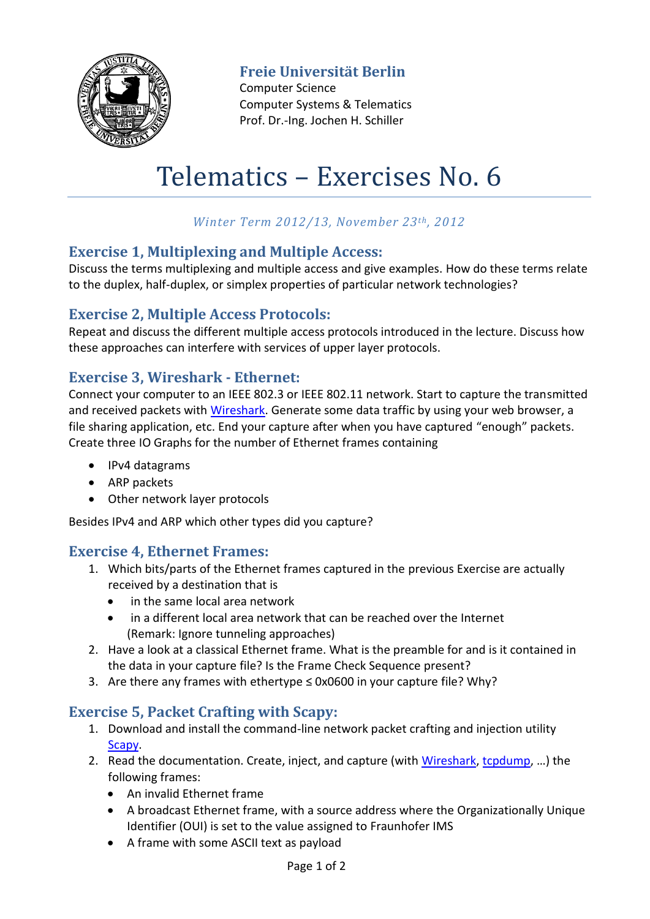

**Freie Universität Berlin**

Computer Science Computer Systems & Telematics Prof. Dr.-Ing. Jochen H. Schiller

# Telematics – Exercises No. 6

## *Winter Term 2012/13, November 23th, 2012*

## **Exercise 1, Multiplexing and Multiple Access:**

Discuss the terms multiplexing and multiple access and give examples. How do these terms relate to the duplex, half-duplex, or simplex properties of particular network technologies?

## **Exercise 2, Multiple Access Protocols:**

Repeat and discuss the different multiple access protocols introduced in the lecture. Discuss how these approaches can interfere with services of upper layer protocols.

#### **Exercise 3, Wireshark - Ethernet:**

Connect your computer to an IEEE 802.3 or IEEE 802.11 network. Start to capture the transmitted and received packets with [Wireshark.](http://www.wireshark.org/) Generate some data traffic by using your web browser, a file sharing application, etc. End your capture after when you have captured "enough" packets. Create three IO Graphs for the number of Ethernet frames containing

- IPv4 datagrams
- ARP packets
- Other network layer protocols

Besides IPv4 and ARP which other types did you capture?

#### **Exercise 4, Ethernet Frames:**

- 1. Which bits/parts of the Ethernet frames captured in the previous Exercise are actually received by a destination that is
	- in the same local area network
	- in a different local area network that can be reached over the Internet (Remark: Ignore tunneling approaches)
- 2. Have a look at a classical Ethernet frame. What is the preamble for and is it contained in the data in your capture file? Is the Frame Check Sequence present?
- 3. Are there any frames with ethertype  $\leq 0 \times 0600$  in your capture file? Why?

#### **Exercise 5, Packet Crafting with Scapy:**

- 1. Download and install the command-line network packet crafting and injection utility [Scapy.](http://www.secdev.org/projects/scapy/)
- 2. Read the documentation. Create, inject, and capture (with [Wireshark,](http://www.wireshark.org/) [tcpdump,](http://www.tcpdump.org/) …) the following frames:
	- An invalid Ethernet frame
	- A broadcast Ethernet frame, with a source address where the Organizationally Unique Identifier (OUI) is set to the value assigned to Fraunhofer IMS
	- A frame with some ASCII text as payload